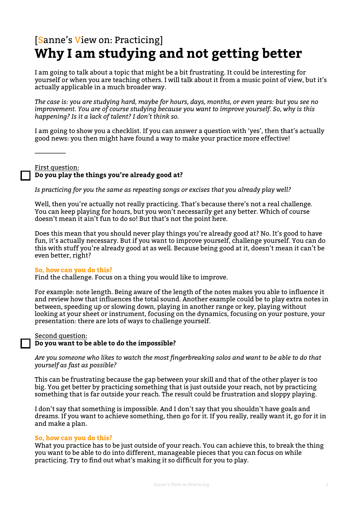# [Sanne's View on: Practicing] **Why I am studying and not getting better**

I am going to talk about a topic that might be a bit frustrating. It could be interesting for yourself or when you are teaching others. I will talk about it from a music point of view, but it's actually applicable in a much broader way.

*The case is: you are studying hard, maybe for hours, days, months, or even years: but you see no improvement. You are of course studying because you want to improve yourself. So, why is this happening? Is it a lack of talent? I don't think so.* 

I am going to show you a checklist. If you can answer a question with 'yes', then that's actually good news: you then might have found a way to make your practice more effective!

First question: **Do you play the things you're already good at?** 

*Is practicing for you the same as repeating songs or excises that you already play well?* 

Well, then you're actually not really practicing. That's because there's not a real challenge. You can keep playing for hours, but you won't necessarily get any better. Which of course doesn't mean it ain't fun to do so! But that's not the point here.

Does this mean that you should never play things you're already good at? No. It's good to have fun, it's actually necessary. But if you want to improve yourself, challenge yourself. You can do this with stuff you're already good at as well. Because being good at it, doesn't mean it can't be even better, right?

#### **So, how can you do this?**

—————

Find the challenge. Focus on a thing you would like to improve.

For example: note length. Being aware of the length of the notes makes you able to influence it and review how that influences the total sound. Another example could be to play extra notes in between, speeding up or slowing down, playing in another range or key, playing without looking at your sheet or instrument, focusing on the dynamics, focusing on your posture, your presentation: there are lots of ways to challenge yourself.

#### Second question:

#### **Do you want to be able to do the impossible?**

*Are you someone who likes to watch the most fingerbreaking solos and want to be able to do that yourself as fast as possible?* 

This can be frustrating because the gap between your skill and that of the other player is too big. You get better by practicing something that is just outside your reach, not by practicing something that is far outside your reach. The result could be frustration and sloppy playing.

I don't say that something is impossible. And I don't say that you shouldn't have goals and dreams. If you want to achieve something, then go for it. If you really, really want it, go for it in and make a plan.

#### **So, how can you do this?**

What you practice has to be just outside of your reach. You can achieve this, to break the thing you want to be able to do into different, manageable pieces that you can focus on while practicing. Try to find out what's making it so difficult for you to play.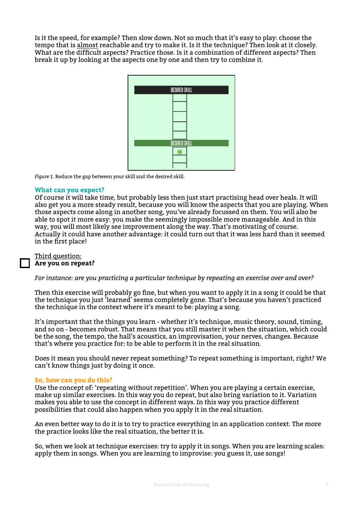Is it the speed, for example? Then slow down. Not so much that it's easy to play: choose the tempo that is almost reachable and try to make it. Is it the technique? Then look at it closely. What are the difficult aspects? Practice those. Is it a combination of different aspects? Then break it up by looking at the aspects one by one and then try to combine it.



*Figure 1.* Reduce the gap between your skill and the desired skill.

#### **What can you expect?**

Of course it will take time, but probably less then just start practising head over heals. It will also get you a more steady result, because you will know the aspects that you are playing. When those aspects come along in another song, you've already focussed on them. You will also be able to spot it more easy: you make the seemingly impossible more manageable. And in this way, you will most likely see improvement along the way. That's motivating of course. Actually it could have another advantage: it could turn out that it was less hard than it seemed in the first place!

#### Third question:

#### **Are you on repeat?**

*For instance: are you practicing a particular technique by repeating an exercise over and over?* 

Then this exercise will probably go fine, but when you want to apply it in a song it could be that the technique you just 'learned' seems completely gone. That's because you haven't practiced the technique in the context where it's meant to be: playing a song.

It's important that the things you learn - whether it's technique, music theory, sound, timing, and so on - becomes robust. That means that you still master it when the situation, which could be the song, the tempo, the hall's acoustics, an improvisation, your nerves, changes. Because that's where you practice for: to be able to perform it in the real situation.

Does it mean you should never repeat something? To repeat something is important, right? We can't know things just by doing it once.

#### **So, how can you do this?**

Use the concept of: 'repeating without repetition'. When you are playing a certain exercise, make up similar exercises. In this way you do repeat, but also bring variation to it. Variation makes you able to use the concept in different ways. In this way you practice different possibilities that could also happen when you apply it in the real situation.

An even better way to do it is to try to practice everything in an application context. The more the practice looks like the real situation, the better it is.

So, when we look at technique exercises: try to apply it in songs. When you are learning scales: apply them in songs. When you are learning to improvise: you guess it, use songs!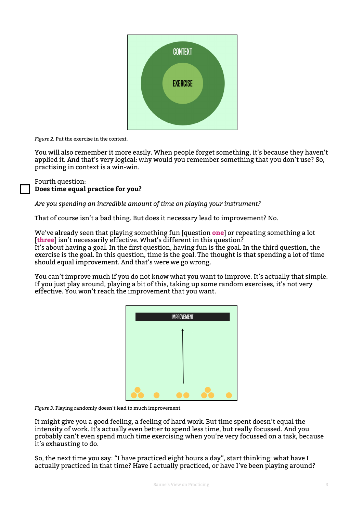

*Figure 2.* Put the exercise in the context.

You will also remember it more easily. When people forget something, it's because they haven't applied it. And that's very logical: why would you remember something that you don't use? So, practising in context is a win-win.

Fourth question: **Does time equal practice for you?** 

*Are you spending an incredible amount of time on playing your instrument?*

That of course isn't a bad thing. But does it necessary lead to improvement? No.

We've already seen that playing something fun [question **one**] or repeating something a lot [three] isn't necessarily effective. What's different in this question? It's about having a goal. In the first question, having fun is the goal. In the third question, the exercise is the goal. In this question, time is the goal. The thought is that spending a lot of time should equal improvement. And that's were we go wrong.

You can't improve much if you do not know what you want to improve. It's actually that simple. If you just play around, playing a bit of this, taking up some random exercises, it's not very effective. You won't reach the improvement that you want.

|  | <b>IMPROVEMENT</b> |  |
|--|--------------------|--|
|  |                    |  |
|  |                    |  |
|  |                    |  |
|  |                    |  |

*Figure 3.* Playing randomly doesn't lead to much improvement.

It might give you a good feeling, a feeling of hard work. But time spent doesn't equal the intensity of work. It's actually even better to spend less time, but really focussed. And you probably can't even spend much time exercising when you're very focussed on a task, because it's exhausting to do.

So, the next time you say: "I have practiced eight hours a day", start thinking: what have I actually practiced in that time? Have I actually practiced, or have I've been playing around?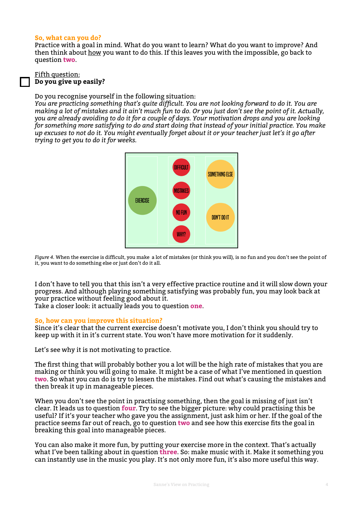#### **So, what can you do?**

Practice with a goal in mind. What do you want to learn? What do you want to improve? And then think about how you want to do this. If this leaves you with the impossible, go back to question **two**.

#### Fifth question: **Do you give up easily?**

### Do you recognise yourself in the following situation:

*You are practicing something that's quite difficult. You are not looking forward to do it. You are making a lot of mistakes and it ain't much fun to do. Or you just don't see the point of it. Actually, you are already avoiding to do it for a couple of days. Your motivation drops and you are looking for something more satisfying to do and start doing that instead of your initial practice. You make up excuses to not do it. You might eventually forget about it or your teacher just let's it go after trying to get you to do it for weeks.* 



*Figure 4.* When the exercise is difficult, you make a lot of mistakes (or think you will), is no fun and you don't see the point of it, you want to do something else or just don't do it all.

I don't have to tell you that this isn't a very effective practice routine and it will slow down your progress. And although playing something satisfying was probably fun, you may look back at your practice without feeling good about it. Take a closer look: it actually leads you to question **one**.

# **So, how can you improve this situation?**

Since it's clear that the current exercise doesn't motivate you, I don't think you should try to keep up with it in it's current state. You won't have more motivation for it suddenly.

Let's see why it is not motivating to practice.

The first thing that will probably bother you a lot will be the high rate of mistakes that you are making or think you will going to make. It might be a case of what I've mentioned in question **two**. So what you can do is try to lessen the mistakes. Find out what's causing the mistakes and then break it up in manageable pieces.

When you don't see the point in practising something, then the goal is missing of just isn't clear. It leads us to question **four**. Try to see the bigger picture: why could practising this be useful? If it's your teacher who gave you the assignment, just ask him or her. If the goal of the practice seems far out of reach, go to question **two** and see how this exercise fits the goal in breaking this goal into manageable pieces.

You can also make it more fun, by putting your exercise more in the context. That's actually what I've been talking about in question **three**. So: make music with it. Make it something you can instantly use in the music you play. It's not only more fun, it's also more useful this way.